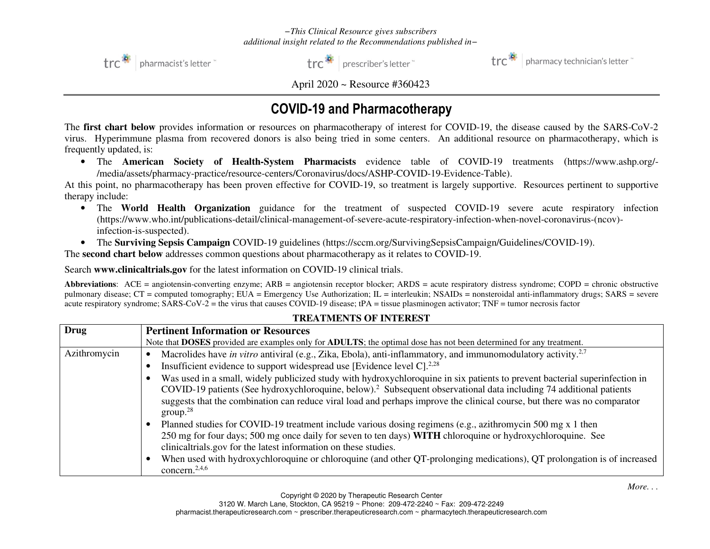

trc<sup>\*</sup> | prescriber's letter



 $\text{trc}^*$  | pharmacy technician's letter

April 2020 ~ Resource #360423

# COVID-19 and Pharmacotherapy

The **first chart below** provides information or resources on pharmacotherapy of interest for COVID-19, the disease caused by the SARS-CoV-2 virus. Hyperimmune plasma from recovered donors is also being tried in some centers. An additional resource on pharmacotherapy, which is frequently updated, is:

• The **American Society of Health-System Pharmacists** evidence table of COVID-19 treatments (https://www.ashp.org/- /media/assets/pharmacy-practice/resource-centers/Coronavirus/docs/ASHP-COVID-19-Evidence-Table).

 At this point, no pharmacotherapy has been proven effective for COVID-19, so treatment is largely supportive. Resources pertinent to supportive therapy include:

- The **World Health Organization** guidance for the treatment of suspected COVID-19 severe acute respiratory infection (https://www.who.int/publications-detail/clinical-management-of-severe-acute-respiratory-infection-when-novel-coronavirus-(ncov)infection-is-suspected).
- The **Surviving Sepsis Campaign** COVID-19 guidelines (https://sccm.org/SurvivingSepsisCampaign/Guidelines/COVID-19).

The **second chart below** addresses common questions about pharmacotherapy as it relates to COVID-19.

Search **www.clinicaltrials.gov** for the latest information on COVID-19 clinical trials.

**Abbreviations**: ACE = angiotensin-converting enzyme; ARB = angiotensin receptor blocker; ARDS = acute respiratory distress syndrome; COPD = chronic obstructive pulmonary disease; CT = computed tomography; EUA = Emergency Use Authorization; IL = interleukin; NSAIDs = nonsteroidal anti-inflammatory drugs; SARS = severe acute respiratory syndrome; SARS-CoV-2 = the virus that causes COVID-19 disease; tPA = tissue plasminogen activator; TNF = tumor necrosis factor

| <b>Drug</b>  | <b>Pertinent Information or Resources</b>                                                                                                         |  |  |  |
|--------------|---------------------------------------------------------------------------------------------------------------------------------------------------|--|--|--|
|              | Note that <b>DOSES</b> provided are examples only for <b>ADULTS</b> ; the optimal dose has not been determined for any treatment.                 |  |  |  |
| Azithromycin | Macrolides have in vitro antiviral (e.g., Zika, Ebola), anti-inflammatory, and immunomodulatory activity. <sup>2,7</sup>                          |  |  |  |
|              | Insufficient evidence to support widespread use [Evidence level C]. <sup>2,28</sup>                                                               |  |  |  |
|              | Was used in a small, widely publicized study with hydroxychloroquine in six patients to prevent bacterial superinfection in                       |  |  |  |
|              | COVID-19 patients (See hydroxychloroquine, below). <sup>2</sup> Subsequent observational data including 74 additional patients                    |  |  |  |
|              | suggests that the combination can reduce viral load and perhaps improve the clinical course, but there was no comparator<br>$\text{group}^{\,28}$ |  |  |  |
|              | Planned studies for COVID-19 treatment include various dosing regimens (e.g., azithromycin 500 mg x 1 then                                        |  |  |  |
|              | 250 mg for four days; 500 mg once daily for seven to ten days) WITH chloroquine or hydroxychloroquine. See                                        |  |  |  |
|              | clinicaltrials.gov for the latest information on these studies.                                                                                   |  |  |  |
|              | When used with hydroxychloroquine or chloroquine (and other QT-prolonging medications), QT prolongation is of increased                           |  |  |  |
|              | concern. $2,4,6$                                                                                                                                  |  |  |  |

## **TREATMENTS OF INTEREST**

*More*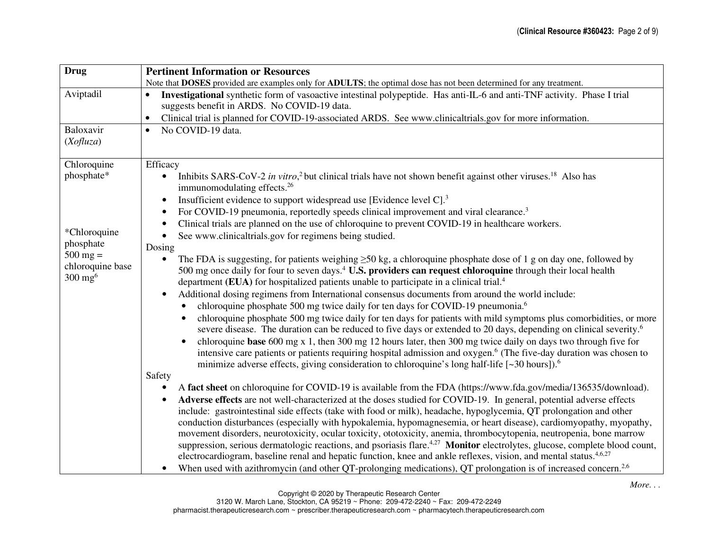| <b>Drug</b>                            | <b>Pertinent Information or Resources</b>                                                                                                                                                                                                                                                                                                                                   |  |  |  |  |
|----------------------------------------|-----------------------------------------------------------------------------------------------------------------------------------------------------------------------------------------------------------------------------------------------------------------------------------------------------------------------------------------------------------------------------|--|--|--|--|
|                                        | Note that DOSES provided are examples only for ADULTS; the optimal dose has not been determined for any treatment.                                                                                                                                                                                                                                                          |  |  |  |  |
| Aviptadil                              | Investigational synthetic form of vasoactive intestinal polypeptide. Has anti-IL-6 and anti-TNF activity. Phase I trial<br>suggests benefit in ARDS. No COVID-19 data.                                                                                                                                                                                                      |  |  |  |  |
|                                        | Clinical trial is planned for COVID-19-associated ARDS. See www.clinicaltrials.gov for more information.                                                                                                                                                                                                                                                                    |  |  |  |  |
| Baloxavir<br>(Xofluza)                 | No COVID-19 data.<br>$\bullet$                                                                                                                                                                                                                                                                                                                                              |  |  |  |  |
| Chloroquine                            | Efficacy                                                                                                                                                                                                                                                                                                                                                                    |  |  |  |  |
| phosphate*                             | Inhibits SARS-CoV-2 in vitro, <sup>2</sup> but clinical trials have not shown benefit against other viruses. <sup>18</sup> Also has<br>$\bullet$<br>immunomodulating effects. <sup>26</sup>                                                                                                                                                                                 |  |  |  |  |
|                                        | Insufficient evidence to support widespread use [Evidence level C]. <sup>3</sup><br>$\bullet$                                                                                                                                                                                                                                                                               |  |  |  |  |
|                                        | For COVID-19 pneumonia, reportedly speeds clinical improvement and viral clearance. <sup>3</sup><br>$\bullet$                                                                                                                                                                                                                                                               |  |  |  |  |
|                                        | Clinical trials are planned on the use of chloroquine to prevent COVID-19 in healthcare workers.<br>$\bullet$                                                                                                                                                                                                                                                               |  |  |  |  |
| *Chloroquine                           | See www.clinicaltrials.gov for regimens being studied.<br>$\bullet$                                                                                                                                                                                                                                                                                                         |  |  |  |  |
| phosphate<br>$500 \text{ mg} =$        | Dosing                                                                                                                                                                                                                                                                                                                                                                      |  |  |  |  |
| chloroquine base<br>$300 \text{ mg}^6$ | The FDA is suggesting, for patients weighing $\geq 50$ kg, a chloroquine phosphate dose of 1 g on day one, followed by<br>$\bullet$<br>500 mg once daily for four to seven days. <sup>4</sup> U.S. providers can request chloroquine through their local health<br>department (EUA) for hospitalized patients unable to participate in a clinical trial. <sup>4</sup>       |  |  |  |  |
|                                        | Additional dosing regimens from International consensus documents from around the world include:<br>$\bullet$                                                                                                                                                                                                                                                               |  |  |  |  |
|                                        | chloroquine phosphate 500 mg twice daily for ten days for COVID-19 pneumonia. <sup>6</sup>                                                                                                                                                                                                                                                                                  |  |  |  |  |
|                                        | chloroquine phosphate 500 mg twice daily for ten days for patients with mild symptoms plus comorbidities, or more<br>severe disease. The duration can be reduced to five days or extended to 20 days, depending on clinical severity. <sup>6</sup>                                                                                                                          |  |  |  |  |
|                                        | chloroquine base 600 mg $x$ 1, then 300 mg 12 hours later, then 300 mg twice daily on days two through five for<br>$\bullet$<br>intensive care patients or patients requiring hospital admission and oxygen. <sup>6</sup> (The five-day duration was chosen to<br>minimize adverse effects, giving consideration to chloroquine's long half-life [~30 hours]). <sup>6</sup> |  |  |  |  |
|                                        | Safety                                                                                                                                                                                                                                                                                                                                                                      |  |  |  |  |
|                                        | A fact sheet on chloroquine for COVID-19 is available from the FDA (https://www.fda.gov/media/136535/download).                                                                                                                                                                                                                                                             |  |  |  |  |
|                                        | Adverse effects are not well-characterized at the doses studied for COVID-19. In general, potential adverse effects                                                                                                                                                                                                                                                         |  |  |  |  |
|                                        | include: gastrointestinal side effects (take with food or milk), headache, hypoglycemia, QT prolongation and other                                                                                                                                                                                                                                                          |  |  |  |  |
|                                        | conduction disturbances (especially with hypokalemia, hypomagnesemia, or heart disease), cardiomyopathy, myopathy,                                                                                                                                                                                                                                                          |  |  |  |  |
|                                        | movement disorders, neurotoxicity, ocular toxicity, ototoxicity, anemia, thrombocytopenia, neutropenia, bone marrow                                                                                                                                                                                                                                                         |  |  |  |  |
|                                        | suppression, serious dermatologic reactions, and psoriasis flare. <sup>4,27</sup> Monitor electrolytes, glucose, complete blood count,                                                                                                                                                                                                                                      |  |  |  |  |
|                                        | electrocardiogram, baseline renal and hepatic function, knee and ankle reflexes, vision, and mental status. <sup>4,6,27</sup>                                                                                                                                                                                                                                               |  |  |  |  |
|                                        | When used with azithromycin (and other QT-prolonging medications), QT prolongation is of increased concern. <sup>2,6</sup>                                                                                                                                                                                                                                                  |  |  |  |  |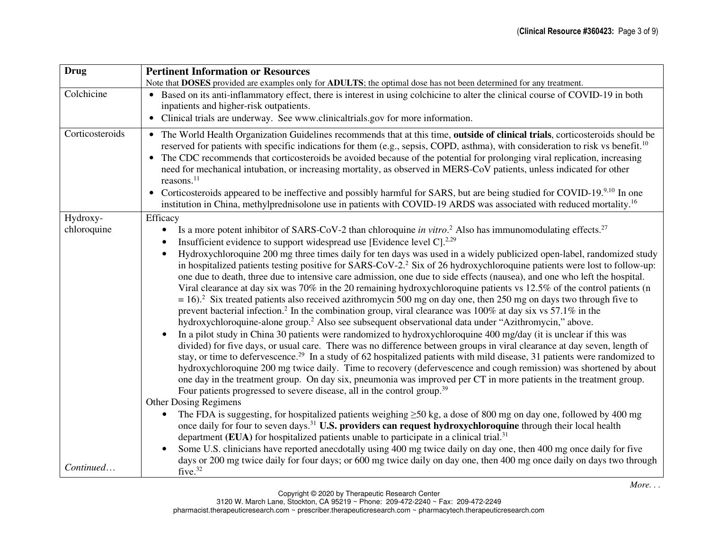| <b>Drug</b>     | <b>Pertinent Information or Resources</b>                                                                                                                                                                                                                                                                                                                                                                                                                                                                                                                                                                                                                                                                                                                                                                                                                                                                                                                                                                                                                                                                                                                                                                                                                                                                                                                                                                                                                                                                                                                                                                                                                                                                                                                                                                                                                                      |  |  |  |  |
|-----------------|--------------------------------------------------------------------------------------------------------------------------------------------------------------------------------------------------------------------------------------------------------------------------------------------------------------------------------------------------------------------------------------------------------------------------------------------------------------------------------------------------------------------------------------------------------------------------------------------------------------------------------------------------------------------------------------------------------------------------------------------------------------------------------------------------------------------------------------------------------------------------------------------------------------------------------------------------------------------------------------------------------------------------------------------------------------------------------------------------------------------------------------------------------------------------------------------------------------------------------------------------------------------------------------------------------------------------------------------------------------------------------------------------------------------------------------------------------------------------------------------------------------------------------------------------------------------------------------------------------------------------------------------------------------------------------------------------------------------------------------------------------------------------------------------------------------------------------------------------------------------------------|--|--|--|--|
|                 | Note that DOSES provided are examples only for ADULTS; the optimal dose has not been determined for any treatment.                                                                                                                                                                                                                                                                                                                                                                                                                                                                                                                                                                                                                                                                                                                                                                                                                                                                                                                                                                                                                                                                                                                                                                                                                                                                                                                                                                                                                                                                                                                                                                                                                                                                                                                                                             |  |  |  |  |
| Colchicine      | • Based on its anti-inflammatory effect, there is interest in using colchicine to alter the clinical course of COVID-19 in both<br>inpatients and higher-risk outpatients.                                                                                                                                                                                                                                                                                                                                                                                                                                                                                                                                                                                                                                                                                                                                                                                                                                                                                                                                                                                                                                                                                                                                                                                                                                                                                                                                                                                                                                                                                                                                                                                                                                                                                                     |  |  |  |  |
|                 | • Clinical trials are underway. See www.clinicaltrials.gov for more information.                                                                                                                                                                                                                                                                                                                                                                                                                                                                                                                                                                                                                                                                                                                                                                                                                                                                                                                                                                                                                                                                                                                                                                                                                                                                                                                                                                                                                                                                                                                                                                                                                                                                                                                                                                                               |  |  |  |  |
| Corticosteroids | • The World Health Organization Guidelines recommends that at this time, outside of clinical trials, corticosteroids should be<br>reserved for patients with specific indications for them (e.g., sepsis, COPD, asthma), with consideration to risk vs benefit. <sup>10</sup><br>The CDC recommends that corticosteroids be avoided because of the potential for prolonging viral replication, increasing<br>need for mechanical intubation, or increasing mortality, as observed in MERS-CoV patients, unless indicated for other<br>reasons. $^{11}$<br>Corticosteroids appeared to be ineffective and possibly harmful for SARS, but are being studied for COVID-19.9,10 In one<br>$\bullet$<br>institution in China, methylprednisolone use in patients with COVID-19 ARDS was associated with reduced mortality. <sup>16</sup>                                                                                                                                                                                                                                                                                                                                                                                                                                                                                                                                                                                                                                                                                                                                                                                                                                                                                                                                                                                                                                            |  |  |  |  |
| Hydroxy-        | Efficacy                                                                                                                                                                                                                                                                                                                                                                                                                                                                                                                                                                                                                                                                                                                                                                                                                                                                                                                                                                                                                                                                                                                                                                                                                                                                                                                                                                                                                                                                                                                                                                                                                                                                                                                                                                                                                                                                       |  |  |  |  |
| chloroquine     | Is a more potent inhibitor of SARS-CoV-2 than chloroquine in vitro. <sup>2</sup> Also has immunomodulating effects. <sup>27</sup><br>$\bullet$<br>Insufficient evidence to support widespread use [Evidence level C]. <sup>2,29</sup><br>Hydroxychloroquine 200 mg three times daily for ten days was used in a widely publicized open-label, randomized study<br>in hospitalized patients testing positive for SARS-CoV-2. <sup>2</sup> Six of 26 hydroxychloroquine patients were lost to follow-up:<br>one due to death, three due to intensive care admission, one due to side effects (nausea), and one who left the hospital.<br>Viral clearance at day six was 70% in the 20 remaining hydroxychloroquine patients vs 12.5% of the control patients (n<br>$= 16$ . <sup>2</sup> Six treated patients also received azithromycin 500 mg on day one, then 250 mg on days two through five to<br>prevent bacterial infection. <sup>2</sup> In the combination group, viral clearance was 100% at day six vs 57.1% in the<br>hydroxychloroquine-alone group. <sup>2</sup> Also see subsequent observational data under "Azithromycin," above.<br>In a pilot study in China 30 patients were randomized to hydroxychloroquine 400 mg/day (it is unclear if this was<br>divided) for five days, or usual care. There was no difference between groups in viral clearance at day seven, length of<br>stay, or time to defervescence. <sup>29</sup> In a study of 62 hospitalized patients with mild disease, 31 patients were randomized to<br>hydroxychloroquine 200 mg twice daily. Time to recovery (defervescence and cough remission) was shortened by about<br>one day in the treatment group. On day six, pneumonia was improved per CT in more patients in the treatment group.<br>Four patients progressed to severe disease, all in the control group. <sup>39</sup> |  |  |  |  |
|                 | <b>Other Dosing Regimens</b>                                                                                                                                                                                                                                                                                                                                                                                                                                                                                                                                                                                                                                                                                                                                                                                                                                                                                                                                                                                                                                                                                                                                                                                                                                                                                                                                                                                                                                                                                                                                                                                                                                                                                                                                                                                                                                                   |  |  |  |  |
|                 | The FDA is suggesting, for hospitalized patients weighing $\geq 50$ kg, a dose of 800 mg on day one, followed by 400 mg<br>$\bullet$<br>once daily for four to seven days. <sup>31</sup> U.S. providers can request hydroxychloroquine through their local health<br>department (EUA) for hospitalized patients unable to participate in a clinical trial. <sup>31</sup><br>Some U.S. clinicians have reported anecdotally using 400 mg twice daily on day one, then 400 mg once daily for five                                                                                                                                                                                                                                                                                                                                                                                                                                                                                                                                                                                                                                                                                                                                                                                                                                                                                                                                                                                                                                                                                                                                                                                                                                                                                                                                                                                |  |  |  |  |
| Continued       | days or 200 mg twice daily for four days; or 600 mg twice daily on day one, then 400 mg once daily on days two through<br>five. <sup>32</sup>                                                                                                                                                                                                                                                                                                                                                                                                                                                                                                                                                                                                                                                                                                                                                                                                                                                                                                                                                                                                                                                                                                                                                                                                                                                                                                                                                                                                                                                                                                                                                                                                                                                                                                                                  |  |  |  |  |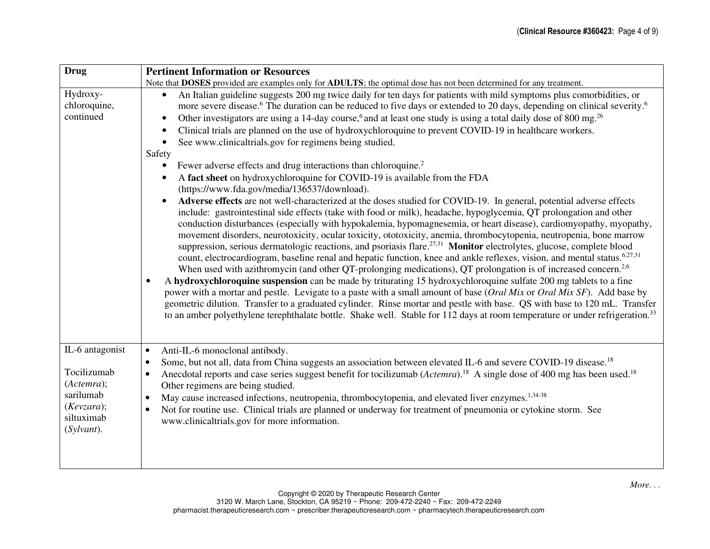| <b>Drug</b>                                                                                         | <b>Pertinent Information or Resources</b>                                                                                                                                                                                                                                                                                                                                                                                                                                                                                                                                                                                                                                                                                                                                                                                                                                                                                                                                                                                                                                                                                                                                                                                                                                                                                                                                                                                 |  |  |  |  |
|-----------------------------------------------------------------------------------------------------|---------------------------------------------------------------------------------------------------------------------------------------------------------------------------------------------------------------------------------------------------------------------------------------------------------------------------------------------------------------------------------------------------------------------------------------------------------------------------------------------------------------------------------------------------------------------------------------------------------------------------------------------------------------------------------------------------------------------------------------------------------------------------------------------------------------------------------------------------------------------------------------------------------------------------------------------------------------------------------------------------------------------------------------------------------------------------------------------------------------------------------------------------------------------------------------------------------------------------------------------------------------------------------------------------------------------------------------------------------------------------------------------------------------------------|--|--|--|--|
|                                                                                                     | Note that DOSES provided are examples only for ADULTS; the optimal dose has not been determined for any treatment.                                                                                                                                                                                                                                                                                                                                                                                                                                                                                                                                                                                                                                                                                                                                                                                                                                                                                                                                                                                                                                                                                                                                                                                                                                                                                                        |  |  |  |  |
| Hydroxy-<br>chloroquine,                                                                            | An Italian guideline suggests 200 mg twice daily for ten days for patients with mild symptoms plus comorbidities, or<br>more severe disease. <sup>6</sup> The duration can be reduced to five days or extended to 20 days, depending on clinical severity. <sup>6</sup>                                                                                                                                                                                                                                                                                                                                                                                                                                                                                                                                                                                                                                                                                                                                                                                                                                                                                                                                                                                                                                                                                                                                                   |  |  |  |  |
| continued                                                                                           | Other investigators are using a 14-day course, <sup>6</sup> and at least one study is using a total daily dose of 800 mg. <sup>26</sup><br>$\bullet$                                                                                                                                                                                                                                                                                                                                                                                                                                                                                                                                                                                                                                                                                                                                                                                                                                                                                                                                                                                                                                                                                                                                                                                                                                                                      |  |  |  |  |
|                                                                                                     | Clinical trials are planned on the use of hydroxychloroquine to prevent COVID-19 in healthcare workers.                                                                                                                                                                                                                                                                                                                                                                                                                                                                                                                                                                                                                                                                                                                                                                                                                                                                                                                                                                                                                                                                                                                                                                                                                                                                                                                   |  |  |  |  |
|                                                                                                     | See www.clinicaltrials.gov for regimens being studied.<br>$\bullet$                                                                                                                                                                                                                                                                                                                                                                                                                                                                                                                                                                                                                                                                                                                                                                                                                                                                                                                                                                                                                                                                                                                                                                                                                                                                                                                                                       |  |  |  |  |
|                                                                                                     | Safety                                                                                                                                                                                                                                                                                                                                                                                                                                                                                                                                                                                                                                                                                                                                                                                                                                                                                                                                                                                                                                                                                                                                                                                                                                                                                                                                                                                                                    |  |  |  |  |
|                                                                                                     | Fewer adverse effects and drug interactions than chloroquine. <sup>2</sup>                                                                                                                                                                                                                                                                                                                                                                                                                                                                                                                                                                                                                                                                                                                                                                                                                                                                                                                                                                                                                                                                                                                                                                                                                                                                                                                                                |  |  |  |  |
|                                                                                                     | A fact sheet on hydroxychloroquine for COVID-19 is available from the FDA<br>(https://www.fda.gov/media/136537/download).                                                                                                                                                                                                                                                                                                                                                                                                                                                                                                                                                                                                                                                                                                                                                                                                                                                                                                                                                                                                                                                                                                                                                                                                                                                                                                 |  |  |  |  |
|                                                                                                     | Adverse effects are not well-characterized at the doses studied for COVID-19. In general, potential adverse effects<br>include: gastrointestinal side effects (take with food or milk), headache, hypoglycemia, QT prolongation and other<br>conduction disturbances (especially with hypokalemia, hypomagnesemia, or heart disease), cardiomyopathy, myopathy,<br>movement disorders, neurotoxicity, ocular toxicity, ototoxicity, anemia, thrombocytopenia, neutropenia, bone marrow<br>suppression, serious dermatologic reactions, and psoriasis flare. <sup>27,31</sup> Monitor electrolytes, glucose, complete blood<br>count, electrocardiogram, baseline renal and hepatic function, knee and ankle reflexes, vision, and mental status. <sup>6,27,31</sup><br>When used with azithromycin (and other QT-prolonging medications), QT prolongation is of increased concern. <sup>2,6</sup><br>A hydroxychloroquine suspension can be made by triturating 15 hydroxychloroquine sulfate 200 mg tablets to a fine<br>power with a mortar and pestle. Levigate to a paste with a small amount of base (Oral Mix or Oral Mix SF). Add base by<br>geometric dilution. Transfer to a graduated cylinder. Rinse mortar and pestle with base. QS with base to 120 mL. Transfer<br>to an amber polyethylene terephthalate bottle. Shake well. Stable for 112 days at room temperature or under refrigeration. <sup>33</sup> |  |  |  |  |
| IL-6 antagonist<br>Tocilizumab<br>(Actemra);<br>sarilumab<br>(Kevzara);<br>siltuximab<br>(Sylvant). | Anti-IL-6 monoclonal antibody.<br>$\bullet$<br>Some, but not all, data from China suggests an association between elevated IL-6 and severe COVID-19 disease. <sup>18</sup><br>$\bullet$<br>Anecdotal reports and case series suggest benefit for tocilizumab (Actemra). <sup>18</sup> A single dose of 400 mg has been used. <sup>18</sup><br>$\bullet$<br>Other regimens are being studied.<br>May cause increased infections, neutropenia, thrombocytopenia, and elevated liver enzymes. <sup>1,34-38</sup><br>$\bullet$<br>Not for routine use. Clinical trials are planned or underway for treatment of pneumonia or cytokine storm. See<br>$\bullet$<br>www.clinicaltrials.gov for more information.                                                                                                                                                                                                                                                                                                                                                                                                                                                                                                                                                                                                                                                                                                                 |  |  |  |  |
|                                                                                                     |                                                                                                                                                                                                                                                                                                                                                                                                                                                                                                                                                                                                                                                                                                                                                                                                                                                                                                                                                                                                                                                                                                                                                                                                                                                                                                                                                                                                                           |  |  |  |  |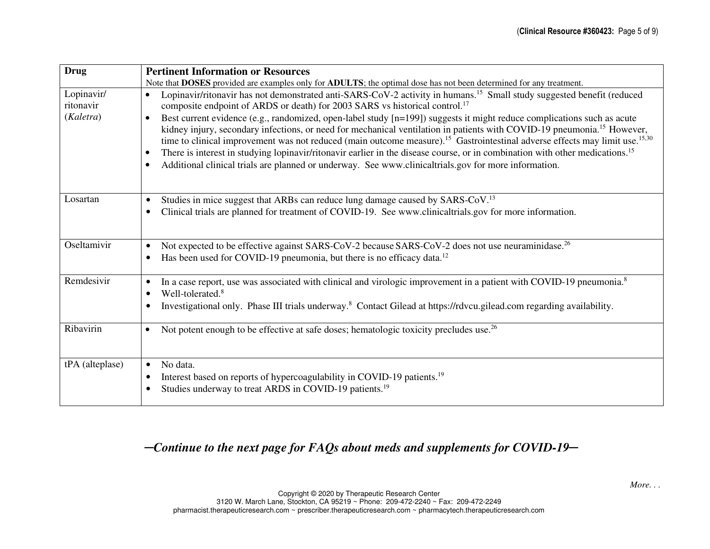| <b>Drug</b>                          | <b>Pertinent Information or Resources</b>                                                                                                                                                                                                                                                                                                                                                                                                                                                                                                                                                                                                                                                                                                                                                                                                                                                                                                                     |
|--------------------------------------|---------------------------------------------------------------------------------------------------------------------------------------------------------------------------------------------------------------------------------------------------------------------------------------------------------------------------------------------------------------------------------------------------------------------------------------------------------------------------------------------------------------------------------------------------------------------------------------------------------------------------------------------------------------------------------------------------------------------------------------------------------------------------------------------------------------------------------------------------------------------------------------------------------------------------------------------------------------|
|                                      | Note that DOSES provided are examples only for ADULTS; the optimal dose has not been determined for any treatment.                                                                                                                                                                                                                                                                                                                                                                                                                                                                                                                                                                                                                                                                                                                                                                                                                                            |
| Lopinavir/<br>ritonavir<br>(Kaletra) | Lopinavir/ritonavir has not demonstrated anti-SARS-CoV-2 activity in humans. <sup>15</sup> Small study suggested benefit (reduced<br>$\bullet$<br>composite endpoint of ARDS or death) for 2003 SARS vs historical control. <sup>17</sup><br>Best current evidence (e.g., randomized, open-label study [n=199]) suggests it might reduce complications such as acute<br>$\bullet$<br>kidney injury, secondary infections, or need for mechanical ventilation in patients with COVID-19 pneumonia. <sup>15</sup> However,<br>time to clinical improvement was not reduced (main outcome measure). <sup>15</sup> Gastrointestinal adverse effects may limit use. <sup>15,30</sup><br>There is interest in studying lopinavir/ritonavir earlier in the disease course, or in combination with other medications. <sup>15</sup><br>$\bullet$<br>Additional clinical trials are planned or underway. See www.clinicaltrials.gov for more information.<br>$\bullet$ |
| Losartan                             | Studies in mice suggest that ARBs can reduce lung damage caused by SARS-CoV. <sup>13</sup><br>$\bullet$<br>Clinical trials are planned for treatment of COVID-19. See www.clinicaltrials.gov for more information.<br>$\bullet$                                                                                                                                                                                                                                                                                                                                                                                                                                                                                                                                                                                                                                                                                                                               |
| Oseltamivir                          | Not expected to be effective against SARS-CoV-2 because SARS-CoV-2 does not use neuraminidase. <sup>26</sup><br>$\bullet$<br>Has been used for COVID-19 pneumonia, but there is no efficacy data. <sup>12</sup><br>$\bullet$                                                                                                                                                                                                                                                                                                                                                                                                                                                                                                                                                                                                                                                                                                                                  |
| Remdesivir                           | In a case report, use was associated with clinical and virologic improvement in a patient with COVID-19 pneumonia. <sup>8</sup><br>٠<br>Well-tolerated. <sup>8</sup><br>$\bullet$<br>Investigational only. Phase III trials underway. <sup>8</sup> Contact Gilead at https://rdvcu.gilead.com regarding availability.                                                                                                                                                                                                                                                                                                                                                                                                                                                                                                                                                                                                                                         |
| Ribavirin                            | Not potent enough to be effective at safe doses; hematologic toxicity precludes use. <sup>26</sup><br>$\bullet$                                                                                                                                                                                                                                                                                                                                                                                                                                                                                                                                                                                                                                                                                                                                                                                                                                               |
| tPA (alteplase)                      | No data.<br>$\bullet$<br>Interest based on reports of hypercoagulability in COVID-19 patients. <sup>19</sup><br>Studies underway to treat ARDS in COVID-19 patients. <sup>19</sup>                                                                                                                                                                                                                                                                                                                                                                                                                                                                                                                                                                                                                                                                                                                                                                            |

# ─*Continue to the next page for FAQs about meds and supplements for COVID-19*─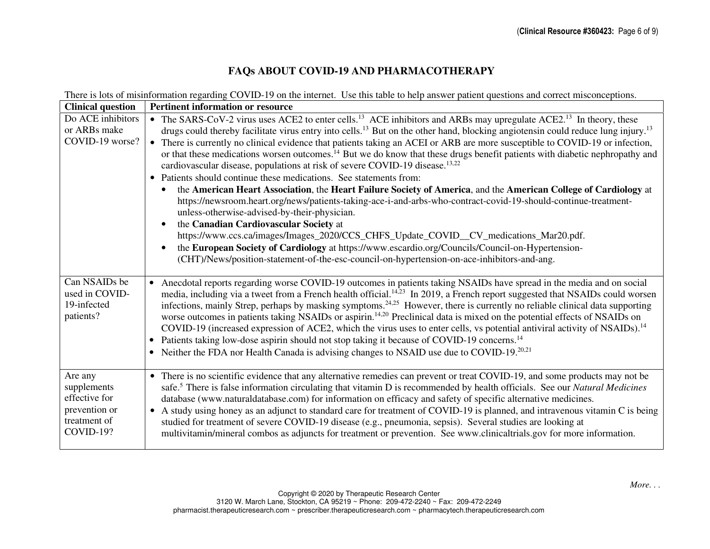# **FAQs ABOUT COVID-19 AND PHARMACOTHERAPY**

There is lots of misinformation regarding COVID-19 on the internet. Use this table to help answer patient questions and correct misconceptions.

| <b>Clinical question</b>                                                              | <b>Pertinent information or resource</b>                                                                                                                                                                                                                                                                                                                                                                                                                                                                                                                                                                                                                                                                                                                                                                                                                                                                                                                                                                                                                                                                                                                                                                                                                                                                                                                                               |
|---------------------------------------------------------------------------------------|----------------------------------------------------------------------------------------------------------------------------------------------------------------------------------------------------------------------------------------------------------------------------------------------------------------------------------------------------------------------------------------------------------------------------------------------------------------------------------------------------------------------------------------------------------------------------------------------------------------------------------------------------------------------------------------------------------------------------------------------------------------------------------------------------------------------------------------------------------------------------------------------------------------------------------------------------------------------------------------------------------------------------------------------------------------------------------------------------------------------------------------------------------------------------------------------------------------------------------------------------------------------------------------------------------------------------------------------------------------------------------------|
| Do ACE inhibitors<br>or ARBs make<br>COVID-19 worse?                                  | The SARS-CoV-2 virus uses ACE2 to enter cells. <sup>13</sup> ACE inhibitors and ARBs may upregulate ACE2. <sup>13</sup> In theory, these<br>drugs could thereby facilitate virus entry into cells. <sup>13</sup> But on the other hand, blocking angiotensin could reduce lung injury. <sup>13</sup><br>There is currently no clinical evidence that patients taking an ACEI or ARB are more susceptible to COVID-19 or infection,<br>or that these medications worsen outcomes. <sup>14</sup> But we do know that these drugs benefit patients with diabetic nephropathy and<br>cardiovascular disease, populations at risk of severe COVID-19 disease. <sup>13,22</sup><br>Patients should continue these medications. See statements from:<br>$\bullet$<br>the American Heart Association, the Heart Failure Society of America, and the American College of Cardiology at<br>https://newsroom.heart.org/news/patients-taking-ace-i-and-arbs-who-contract-covid-19-should-continue-treatment-<br>unless-otherwise-advised-by-their-physician.<br>the Canadian Cardiovascular Society at<br>https://www.ccs.ca/images/Images_2020/CCS_CHFS_Update_COVID_CV_medications_Mar20.pdf.<br>the European Society of Cardiology at https://www.escardio.org/Councils/Council-on-Hypertension-<br>(CHT)/News/position-statement-of-the-esc-council-on-hypertension-on-ace-inhibitors-and-ang. |
| Can NSAIDs be<br>used in COVID-<br>19-infected<br>patients?                           | Anecdotal reports regarding worse COVID-19 outcomes in patients taking NSAIDs have spread in the media and on social<br>$\bullet$<br>media, including via a tweet from a French health official. <sup>14,23</sup> In 2019, a French report suggested that NSAIDs could worsen<br>infections, mainly Strep, perhaps by masking symptoms. <sup>24,25</sup> However, there is currently no reliable clinical data supporting<br>worse outcomes in patients taking NSAIDs or aspirin. <sup>14,20</sup> Preclinical data is mixed on the potential effects of NSAIDs on<br>COVID-19 (increased expression of ACE2, which the virus uses to enter cells, vs potential antiviral activity of NSAIDs). <sup>14</sup><br>Patients taking low-dose aspirin should not stop taking it because of COVID-19 concerns. <sup>14</sup><br>$\bullet$<br>Neither the FDA nor Health Canada is advising changes to NSAID use due to COVID-19. <sup>20,21</sup><br>$\bullet$                                                                                                                                                                                                                                                                                                                                                                                                                               |
| Are any<br>supplements<br>effective for<br>prevention or<br>treatment of<br>COVID-19? | There is no scientific evidence that any alternative remedies can prevent or treat COVID-19, and some products may not be<br>$\bullet$<br>safe. <sup>5</sup> There is false information circulating that vitamin D is recommended by health officials. See our <i>Natural Medicines</i><br>database (www.naturaldatabase.com) for information on efficacy and safety of specific alternative medicines.<br>A study using honey as an adjunct to standard care for treatment of COVID-19 is planned, and intravenous vitamin C is being<br>$\bullet$<br>studied for treatment of severe COVID-19 disease (e.g., pneumonia, sepsis). Several studies are looking at<br>multivitamin/mineral combos as adjuncts for treatment or prevention. See www.clinicaltrials.gov for more information.                                                                                                                                                                                                                                                                                                                                                                                                                                                                                                                                                                                             |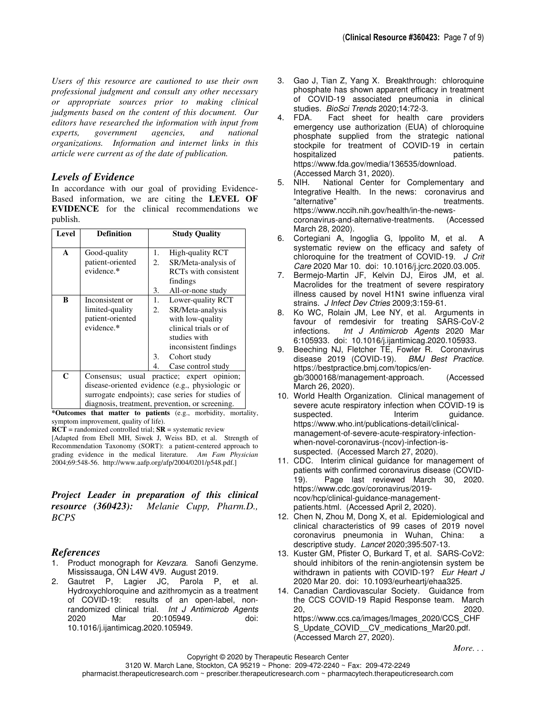*Users of this resource are cautioned to use their own professional judgment and consult any other necessary or appropriate sources prior to making clinical judgments based on the content of this document. Our editors have researched the information with input from experts, government agencies, and national organizations. Information and internet links in this article were current as of the date of publication.*

#### *Levels of Evidence*

In accordance with our goal of providing Evidence-Based information, we are citing the **LEVEL OF EVIDENCE** for the clinical recommendations we publish.

| Level        | <b>Definition</b>                                                                                                                                                                                                          | <b>Study Quality</b>                                                                                                                                                         |  |
|--------------|----------------------------------------------------------------------------------------------------------------------------------------------------------------------------------------------------------------------------|------------------------------------------------------------------------------------------------------------------------------------------------------------------------------|--|
| $\mathbf{A}$ | Good-quality<br>patient-oriented<br>evidence.*                                                                                                                                                                             | 1.<br><b>High-quality RCT</b><br>SR/Meta-analysis of<br>2.<br>RCT <sub>s</sub> with consistent<br>findings<br>3.<br>All-or-none study                                        |  |
| B            | Inconsistent or<br>limited-quality<br>patient-oriented<br>evidence.*                                                                                                                                                       | $1_{\cdot}$<br>Lower-quality RCT<br>SR/Meta-analysis<br>2.<br>with low-quality<br>clinical trials or of<br>studies with<br>inconsistent findings<br>3.<br>Cohort study<br>4. |  |
| C            | Case control study<br>Consensus; usual practice; expert opinion;<br>disease-oriented evidence (e.g., physiologic or<br>surrogate endpoints); case series for studies of<br>diagnosis, treatment, prevention, or screening. |                                                                                                                                                                              |  |

**\*Outcomes that matter to patients** (e.g., morbidity, mortality, symptom improvement, quality of life).

**RCT** = randomized controlled trial; **SR** = systematic review

[Adapted from Ebell MH, Siwek J, Weiss BD, et al. Strength of Recommendation Taxonomy (SORT): a patient-centered approach to grading evidence in the medical literature. *Am Fam Physician* 2004;69:548-56. http://www.aafp.org/afp/2004/0201/p548.pdf.]

*Project Leader in preparation of this clinical resource (360423): Melanie Cupp, Pharm.D., BCPS*

## *References*

- 1. Product monograph for Kevzara. Sanofi Genzyme. Mississauga, ON L4W 4V9. August 2019.
- 2. Gautret P, Lagier JC, Parola P, et al. Hydroxychloroquine and azithromycin as a treatment of COVID-19: results of an open-label, nonrandomized clinical trial. Int J Antimicrob Agents 2020 Mar 20:105949. doi: 10.1016/j.ijantimicag.2020.105949.
- 3. Gao J, Tian Z, Yang X. Breakthrough: chloroquine phosphate has shown apparent efficacy in treatment of COVID-19 associated pneumonia in clinical studies. *BioSci Trends* 2020;14:72-3.<br>4. FDA. Fact sheet for health of
- Fact sheet for health care providers emergency use authorization (EUA) of chloroquine phosphate supplied from the strategic national stockpile for treatment of COVID-19 in certain hospitalized https://www.fda.gov/media/136535/download. (Accessed March 31, 2020).
- 5. NIH. National Center for Complementary and Integrative Health. In the news: coronavirus and "alternative" extending the treatments. https://www.nccih.nih.gov/health/in-the-newscoronavirus-and-alternative-treatments. (Accessed March 28, 2020).
- 6. Cortegiani A, Ingoglia G, Ippolito M, et al. A systematic review on the efficacy and safety of chloroquine for the treatment of COVID-19.  $J$  Crit Care 2020 Mar 10. doi: 10.1016/j.jcrc.2020.03.005.
- 7. Bermejo-Martin JF, Kelvin DJ, Eiros JM, et al. Macrolides for the treatment of severe respiratory illness caused by novel H1N1 swine influenza viral strains. J Infect Dev Ctries 2009;3:159-61.
- 8. Ko WC, Rolain JM, Lee NY, et al. Arguments in favour of remdesivir for treating SARS-CoV-2 infections. Int J Antimicrob Agents 2020 Mar 6:105933. doi: 10.1016/j.ijantimicag.2020.105933.
- 9. Beeching NJ, Fletcher TE, Fowler R. Coronavirus disease 2019 (COVID-19). BMJ Best Practice. https://bestpractice.bmj.com/topics/engb/3000168/management-approach. (Accessed March 26, 2020).
- 10. World Health Organization. Clinical management of severe acute respiratory infection when COVID-19 is suspected. **Interim** guidance. https://www.who.int/publications-detail/clinicalmanagement-of-severe-acute-respiratory-infectionwhen-novel-coronavirus-(ncov)-infection-issuspected. (Accessed March 27, 2020).
- 11. CDC. Interim clinical guidance for management of patients with confirmed coronavirus disease (COVID-<br>19). Page last reviewed March 30, 2020. Page last reviewed March 30, 2020. https://www.cdc.gov/coronavirus/2019 ncov/hcp/clinical-guidance-managementpatients.html. (Accessed April 2, 2020).
- 12. Chen N, Zhou M, Dong X, et al. Epidemiological and clinical characteristics of 99 cases of 2019 novel coronavirus pneumonia in Wuhan, China: a descriptive study. Lancet 2020;395:507-13.
- 13. Kuster GM, Pfister O, Burkard T, et al. SARS-CoV2: should inhibitors of the renin-angiotensin system be withdrawn in patients with COVID-19? Eur Heart J 2020 Mar 20. doi: 10.1093/eurheartj/ehaa325.
- 14. Canadian Cardiovascular Society. Guidance from the CCS COVID-19 Rapid Response team. March 20, 2020. https://www.ccs.ca/images/Images\_2020/CCS\_CHF S\_Update\_COVID\_\_CV\_medications\_Mar20.pdf. (Accessed March 27, 2020).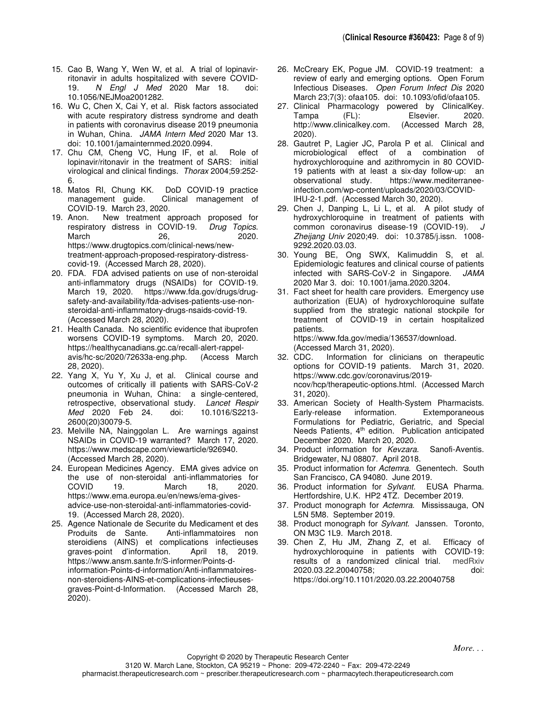- 15. Cao B, Wang Y, Wen W, et al. A trial of lopinavirritonavir in adults hospitalized with severe COVID-19. N Engl J Med 2020 Mar 18. doi: 10.1056/NEJMoa2001282.
- 16. Wu C, Chen X, Cai Y, et al. Risk factors associated with acute respiratory distress syndrome and death in patients with coronavirus disease 2019 pneumonia in Wuhan, China. JAMA Intern Med 2020 Mar 13. doi: 10.1001/jamainternmed.2020.0994.
- 17. Chu CM, Cheng VC, Hung IF, et al. Role of lopinavir/ritonavir in the treatment of SARS: initial virological and clinical findings. Thorax 2004;59:252- 6.
- 18. Matos RI, Chung KK. DoD COVID-19 practice Clinical management of COVID-19. March 23, 2020.
- 19. Anon. New treatment approach proposed for respiratory distress in COVID-19. Drug Topics. March 26, 2020. https://www.drugtopics.com/clinical-news/newtreatment-approach-proposed-respiratory-distresscovid-19. (Accessed March 28, 2020).
- 20. FDA. FDA advised patients on use of non-steroidal anti-inflammatory drugs (NSAIDs) for COVID-19. March 19, 2020. https://www.fda.gov/drugs/drugsafety-and-availability/fda-advises-patients-use-nonsteroidal-anti-inflammatory-drugs-nsaids-covid-19. (Accessed March 28, 2020).
- 21. Health Canada. No scientific evidence that ibuprofen worsens COVID-19 symptoms. March 20, 2020. https://healthycanadians.gc.ca/recall-alert-rappelavis/hc-sc/2020/72633a-eng.php. (Access March 28, 2020).
- 22. Yang X, Yu Y, Xu J, et al. Clinical course and outcomes of critically ill patients with SARS-CoV-2 pneumonia in Wuhan, China: a single-centered, retrospective, observational study. Lancet Respir Med 2020 Feb 24. doi: 10.1016/S2213- 2600(20)30079-5.
- 23. Melville NA, Nainggolan L. Are warnings against NSAIDs in COVID-19 warranted? March 17, 2020. https://www.medscape.com/viewarticle/926940. (Accessed March 28, 2020).
- 24. European Medicines Agency. EMA gives advice on the use of non-steroidal anti-inflammatories for<br>COVID 19. March 18. 2020. COVID 19. March 18. https://www.ema.europa.eu/en/news/ema-givesadvice-use-non-steroidal-anti-inflammatories-covid-19. (Accessed March 28, 2020).
- 25. Agence Nationale de Securite du Medicament et des<br>Produits de Sante. Anti-inflammatoires non Anti-inflammatoires non steroidiens (AINS) et complications infectieuses graves-point d'information. April 18, 2019. https://www.ansm.sante.fr/S-informer/Points-dinformation-Points-d-information/Anti-inflammatoiresnon-steroidiens-AINS-et-complications-infectieusesgraves-Point-d-Information. (Accessed March 28, 2020).
- 26. McCreary EK, Pogue JM. COVID-19 treatment: a review of early and emerging options. Open Forum Infectious Diseases. Open Forum Infect Dis 2020 March 23;7(3): ofaa105. doi: 10.1093/ofid/ofaa105.
- 27. Clinical Pharmacology powered by ClinicalKey. Tampa (FL): Elsevier. 2020. http://www.clinicalkey.com. (Accessed March 28, 2020).
- 28. Gautret P, Lagier JC, Parola P et al. Clinical and microbiological effect of a combination of hydroxychloroquine and azithromycin in 80 COVID-19 patients with at least a six-day follow-up: an observational study. https://www.mediterraneeinfection.com/wp-content/uploads/2020/03/COVID-IHU-2-1.pdf. (Accessed March 30, 2020).
- 29. Chen J, Danping L, Li L, et al. A pilot study of hydroxychloroquine in treatment of patients with common coronavirus disease-19 (COVID-19). J Zheijang Univ 2020;49. doi: 10.3785/j.issn. 1008- 9292.2020.03.03.
- 30. Young BE, Ong SWX, Kalimuddin S, et al. Epidemiologic features and clinical course of patients infected with SARS-CoV-2 in Singapore. JAMA 2020 Mar 3. doi: 10.1001/jama.2020.3204.
- 31. Fact sheet for health care providers. Emergency use authorization (EUA) of hydroxychloroquine sulfate supplied from the strategic national stockpile for treatment of COVID-19 in certain hospitalized patients. https://www.fda.gov/media/136537/download.

(Accessed March 31, 2020).

- 32. CDC. Information for clinicians on therapeutic options for COVID-19 patients. March 31, 2020. https://www.cdc.gov/coronavirus/2019 ncov/hcp/therapeutic-options.html. (Accessed March 31, 2020).
- 33. American Society of Health-System Pharmacists. Early-release information. Extemporaneous Formulations for Pediatric, Geriatric, and Special Needs Patients, 4<sup>th</sup> edition. Publication anticipated December 2020. March 20, 2020.
- 34. Product information for Kevzara. Sanofi-Aventis. Bridgewater, NJ 08807. April 2018.
- 35. Product information for Actemra. Genentech. South San Francisco, CA 94080. June 2019.
- 36. Product information for Sylvant. EUSA Pharma. Hertfordshire, U.K. HP2 4TZ. December 2019.
- 37. Product monograph for Actemra. Mississauga, ON L5N 5M8. September 2019.
- 38. Product monograph for Sylvant. Janssen. Toronto, ON M3C 1L9. March 2018.
- 39. Chen Z, Hu JM, Zhang Z, et al. Efficacy of hydroxychloroquine in patients with COVID-19: results of a randomized clinical trial. 2020.03.22.20040758; doi: https://doi.org/10.1101/2020.03.22.20040758